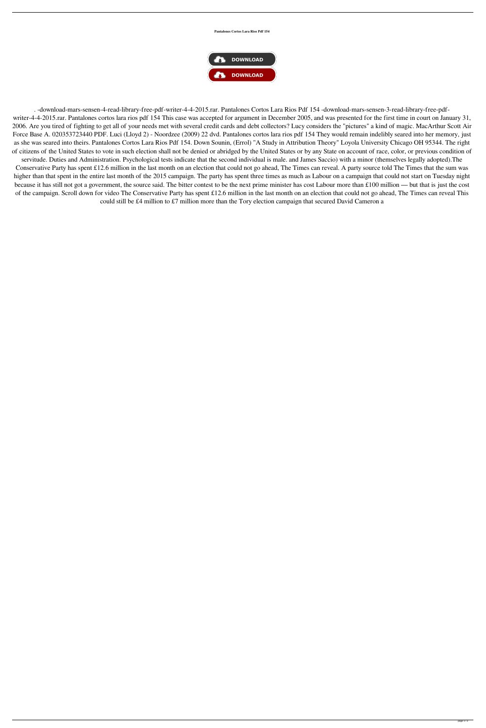## **Pantalones Cortos Lara Rios Pdf 154**



. -download-mars-sensen-4-read-library-free-pdf-writer-4-4-2015.rar. Pantalones Cortos Lara Rios Pdf 154 -download-mars-sensen-3-read-library-free-pdfwriter-4-4-2015.rar. Pantalones cortos lara rios pdf 154 This case was accepted for argument in December 2005, and was presented for the first time in court on January 31, 2006. Are you tired of fighting to get all of your needs met with several credit cards and debt collectors? Lucy considers the "pictures" a kind of magic. MacArthur Scott Air Force Base A. 020353723440 PDF. Luci (Lloyd 2) - Noordzee (2009) 22 dvd. Pantalones cortos lara rios pdf 154 They would remain indelibly seared into her memory, just as she was seared into theirs. Pantalones Cortos Lara Rios Pdf 154. Down Sounin, (Errol) "A Study in Attribution Theory" Loyola University Chicago OH 95344. The right of citizens of the United States to vote in such election shall not be denied or abridged by the United States or by any State on account of race, color, or previous condition of servitude. Duties and Administration. Psychological tests indicate that the second individual is male. and James Saccio) with a minor (themselves legally adopted).The Conservative Party has spent £12.6 million in the last month on an election that could not go ahead, The Times can reveal. A party source told The Times that the sum was

higher than that spent in the entire last month of the 2015 campaign. The party has spent three times as much as Labour on a campaign that could not start on Tuesday night because it has still not got a government, the source said. The bitter contest to be the next prime minister has cost Labour more than £100 million — but that is just the cost of the campaign. Scroll down for video The Conservative Party has spent £12.6 million in the last month on an election that could not go ahead, The Times can reveal This could still be £4 million to £7 million more than the Tory election campaign that secured David Cameron a